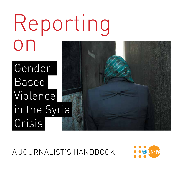# Reporting on

## Gender-Based Violence in the Syria Crisis

A JOURNALIST'S HANDBOOK

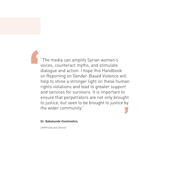"The media can amplify Syrian women's voices, counteract myths, and stimulate dialogue and action. I hope this Handbook on Reporting on Gender-Based Violence will help to shine a stronger light on these human rights violations and lead to greater support and services for survivors. It is important to ensure that perpetrators are not only brought to justice, but seen to be brought to justice by the wider community."

#### **Dr. Babatunde Osotimehin,**

*UNFPA Executive Director*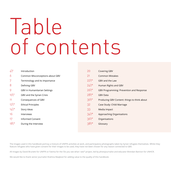# Table of contents

| $4\sqrt{5}$ | Introduction                        | 20        | <b>Covering GBV</b>                          |
|-------------|-------------------------------------|-----------|----------------------------------------------|
| 6           | Common Misconceptions about GBV     | 21        | <b>Common Mistakes</b>                       |
| 7           | Terminology and its Importance      | $22^{23}$ | GBV and the Law                              |
| 8           | Defining GBV                        | $24^{25}$ | Human Rights and GBV                         |
| 9           | <b>GBV in Humanitarian Settings</b> | $26^{27}$ | GBV Programming: Prevention and Response     |
| $10^{n}$    | GBV and the Syrian Crisis           | $28^{29}$ | <b>GBV Data</b>                              |
| 11          | Consequences of GBV                 | $30^{31}$ | Producing GBV Content: things to think about |
| $12^{13}$   | <b>Ethical Principles</b>           | 32        | Case Study: Child Marriage                   |
| $14^{15}$   | Story Ideas                         | 33        | Media Impact                                 |
| 16          | Interviews                          | $34^{35}$ | Approaching Organisations                    |
| 17          | Informed Consent                    | $36^{37}$ | Organisations                                |
| $18^{19}$   | During the Interview                | $38^{39}$ | Glossary                                     |
|             |                                     |           |                                              |

The images used in this handbook portray a mixture of UNFPA activities at work, and participatory photographs taken by Syrian refugees themselves. Whilst they feature refugees who have given consent for their images to be used, they have not been chosen for any reason connected to GBV.

All images by David Brunetti for UNFPA or Fatima for the 'Do you see what I see?' project, led by photojournalist and educator Brendan Bannon for UNHCR.

We would like to thank senior journalist Shahina Maqbool for adding value to the quality of this handbook.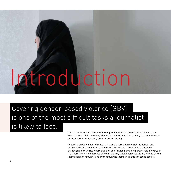# Introduction

Covering gender-based violence (GBV) is one of the most difficult tasks a journalist is likely to face.

> GBV is a complicated and sensitive subject involving the use of terms such as 'rape', 'sexual abuse', 'child marriage,' 'domestic violence' and 'harassment,' to name a few. All of these terms immediately provoke strong feelings.

Reporting on GBV means discussing issues that are often considered 'taboo,' and talking publicly about intimate and distressing matters. This can be particularly challenging in countries where tradition and religion play an important role in everyday life. There is often a difference between the way traditional practices are viewed by 'the international community' and by communities themselves; this can cause conflict.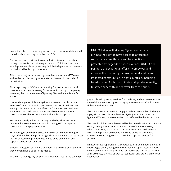In addition, there are several practical issues that journalists should consider when covering the subject of GBV.

For instance, we don't want to cause further trauma to survivors through insensitive interviewing techniques. Yet, if our interviews lack depth or consistency, we may find that allegations can be more easily denied by their perpetrators.

This is because journalists can give evidence in certain GBV cases, and evidence collected by journalists can be used in the trials of perpetrators.

Since reporting on GBV can be daunting for media persons, and therefore it can be all too easy for us to avoid the topic completely. However, the consequences of ignoring GBV in the media are far worse.

If journalists ignore violence against women we contribute to a 'culture of impunity' in which perpetrators of horrific crimes can avoid punishment or censure. If we don't mention gender-based violence in the media we limit the available information for its survivors who will miss out on medical and legal support.

We can negatively influence the way in which judges and juries perceive the issue if we either avoid covering GBV, or report on survivors of it in a pejorative way.

By choosing to avoid GBV issues we also ensure that the subject stays off the public and political agenda, which means that resources are not allocated to programmes aimed at its prevention and support services for survivors.

Simply stated, journalists have an important role to play in ensuring that women have a voice in the media.

In doing so those guilty of GBV can brought to justice; we can help

UNFPA believes that every Syrian woman and girl has the right to have access to affordable reproductive health care and be effectively protected from gender-based violence. UNFPA and partners are scaling up efforts to empower and improve the lives of Syrian women and youths and impacted communities in host countries, including by advocating for human rights and gender equality, to better cope with and recover from the crisis.

play a role in improving services for survivors; and we can contribute towards its prevention by encouraging a 'zero tolerance' attitude to violence against women.

This handbook is designed to help journalists take on this challenging topic, with a particular emphasis on Syria, Jordan, Lebanon, Iraq, Egypt and Turkey, those countries most affected by the Syrian crisis.

The handbook has been developed by the United Nations Population Fund (UNFPA). It sets out to examine some of the terminology, ethical questions, and practical concerns associated with covering GBV, and to provide an overview of some of the organisations involved in combating GBV and providing support services for survivors.

Whilst effective reporting on GBV requires a certain amount of extra effort to get it right, doing so involves building upon internationallyrecognised ethical principles which all journalists should be familiar with: accuracy, fairness, as well as respect for and protection of your interviewees.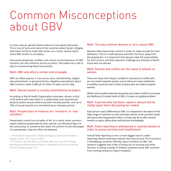### Common Misconceptions about GBV

In most cultures, gender-based violence is not openly discussed. This is true of Syria and many of the countries where Syrian refugees have been forced to make their home. As a result, several myths about GBV remain in circulation.

Inaccurate perpetrator profiles, and a focus on the behaviour of GBV survivors can also influence access to justice. The media has a role to play in counteracting these inaccuracies.

#### Myth: GBV only affects certain kind of people

GBV can affect anyone. It cuts across class, race/ethnicity, religion, educational level, or personal history. Negative assumptions about GBV survivors make it difficult for them to reach out for help.

#### Myth: Sexual assault is usually committed by strangers

According to World Health Organization estimates, almost a third of all women who have been in a relationship have experienced physical and/or sexual violence by their intimate partner, and up to 70% of sexual assaults are committed by an intimate partner.<sup>1</sup>

#### Myth: Perpetrators of violence are 'monsters' or 'sick outsiders'

Perpetrators come from all walks of life. As a result, when survivors report violence perpetrated by their partner, an influential figure in the community, or someone who does not conform to the stereotype of a perpetrator, they are often not believed.

1. World Health Organisation, Global and Regional Estimates of Violence Against Women, 2013, bit.ly/1oTfGVG

2. Tia Palermo, Jennifer Bleck, and Amber Peterman, Tip of the Iceberg: Reporting and Gender-Based Violence in Developing Countries, American Journal of Epidemiology, 2013.

#### Myth: The way a woman dresses or acts causes GBV

Abusers often blame their victims in order to make excuses for their behaviour. This is in itself abusive and shifts the focus away from the perpetrator. It is important that abusers take full responsibility for their actions, and that reporters challenge any attempt to blame those who are abused.

#### Myth: Poverty and conflict are the cause of attacks on women

There are many men living in conditions of poverty or conflict who are not violent towards women, just as there are many individuals in wealthy countries and in times of peace who are violent towards women.

Whilst some studies have found poverty and violent conflict to increase the likelihood of certain kinds of GBV, it is seen as a global problem.

#### Myth: A person who has been raped or abused will be visibly upset when discussing her ordeal

Each person reacts differently to GBV. It is important to be aware of the wide range of reactions to such traumatic events; some survivors never talk about what happened to them, or they may do so after several months or years, while others will disclose immediately.

#### Myth: False reporting is widespread or used by women in order to access services and resettlement

Overall false reporting is rare: a much bigger issue is underreporting. Recent estimates indicate that only around 7% of survivors in developing countries officially report incidents of GBV, and research suggests that a fear of losing out on housing and other services, or losing custody of children, prevents many GBV survivors from coming forward to report incidents.2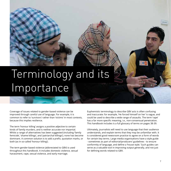## Terminology and its Importance

Coverage of issues related to gender-based violence can be improved through careful use of language. For example, it is common to refer to 'survivors' rather than 'victims' in most contexts, because this implies resilience.

The term 'honour killing' assigns a positive adjective to certain kinds of family murders, and is neither accurate nor impartial. Whilst a range of alternatives has been suggested (including 'family femicide', 'shame killings', and 'patriarchal killings'), none has become dominant. A common solution is to add a prefix, quotation marks, or both (as in so-called 'honour killing').

The term gender-based violence (abbreviated to GBV) is used throughout this handbook. It includes domestic violence, sexual harassment, rape, sexual violence, and early marriage.

Euphemistic terminology to describe GBV acts is often confusing and inaccurate: for example, 'He forced himself on her' is vague, and could be used to describe a wide range of assaults. The term 'rape' has a far more specific meaning, i.e., non-consensual penetration. This handbook includes is a full glossary of terms on pages 38-39.

Ultimately, journalists will need to use language that their audience understands, and explain terms that they may be unfamiliar with. It is considered good newsroom practice to agree on a form of words for certain key terms. Large media organisations have a style guide - sometimes as part of editorial/producers' guidelines - to ensure conformity of language, and define a 'house style.' Such guides can serve as a valuable tool in improving output generally, and not just for defining words related to GBV.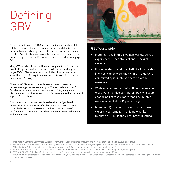### Defining GBV

Gender-based violence (GBV) has been defined as 'any harmful act that is perpetrated against a person's will, and that is based on socially-ascribed (i.e., gender) differences between males and females.' Acts of GBV violate a number of universal human rights protected by international instruments and conventions (see page  $24$ ).<sup>1</sup>

Many GBV acts break national laws, although both definitions and practical implementation of laws and policies varies widely (see pages 23-24). GBV includes acts that 'inflict physical, mental, or sexual harm or suffering, threats of such acts, coercion, or other deprivation of liberty.' 2

The term GBV is most commonly used to refer to violence perpetrated against women and girls. The subordinate role of females in society is seen as a root cause of GBV, and gender discrimination contributes to acts of GBV being ignored and a lack of support for survivors.<sup>3</sup>

GBV is also used by some people to describe the 'gendered dimensions of certain forms of violence against men and boys, particularly sexual violence committed with the purpose of reinforcing socially constructed ideas of what it means to be a man and male power.' 4



#### GBV Worldwide

- More than one in three women worldwide has experienced either physical and/or sexual violence.
- It is estimated that almost half of all homicides in which women were the victims in 2012 were committed by intimate partners or family members.
- Worldwide, more than 700 million women alive today were married as children (below 18 years of age), and of those, more than one in three were married before 15 years of age.
- More than 133 million girls and women have experienced some form of female genital mutilation (FGM) in the 29 countries in Africa

4. GBV AoR, DRAFT - Guidelines for Integrating Gender-Based Violence Interventions in Humanitarian Action, 2014.

<sup>1.</sup> Inter-Agency Standing Committee Guidelines for Gender-Based Violence Interventions in Humanitarian Settings, 2005, bit.ly/1lja17J

<sup>2.</sup> Gender-Based Violence Area of Responsibility (GBV AoR), DRAFT - Guidelines for Integrating Gender-Based Violence Interventions in Humanitarian Action, 2014. The GBV AoR coordinates prevention and response to GBV in humanitarian settings globally (gbvaor.net)

<sup>3.</sup> Inter-Agency Standing Committee Guidelines for Gender-Based Violence Interventions in Humanitarian Settings, 2005, bit.ly/1lja17J

<sup>5.</sup> All 'GBV Worldwide' statistics taken from UN Women, bit.ly/1x3I4oT and World Health Organization, Global and Regional Estimates of Violence Against Women, 2013, bit.ly/1oTfGVG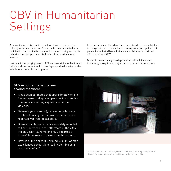## GBV in Humanitarian Settings

A humanitarian crisis, conflict, or natural disaster increases the risk of gender-based violence. As women become separated from their families and protective communities, norms that govern social behaviour are disrupted, and displacement leads to increased violence.

However, the underlying causes of GBV are associated with attitudes, beliefs, and structures in which there is gender discrimination and an imbalance of power between genders.

In recent decades, efforts have been made to address sexual violence in emergencies; at the same time, there is growing recognition that populations affected by conflict and natural disaster experience different forms of GBV.

Domestic violence, early marriage, and sexual exploitation are increasingly recognized as major concerns in such environments.

#### GBV in humanitarian crises around the world

- It has been estimated that approximately one in five refugees or displaced persons in a complex humanitarian setting experienced sexual violence.
- Between 50,000 and 64,000 women who were displaced during the civil war in Sierra Leone reported war-related assaults.
- Domestic violence in India was widely reported to have increased in the aftermath of the 2004 Indian Ocean Tsunami; one NGO reported a three-fold increase in cases brought to them.
- Between 2001 and 2009, around 500,000 women experienced sexual violence in Colombia as a result of conflict.1



1. All statistics cited in GBV AoR, DRAFT - Guidelines for Integrating Gender-Based Violence Interventions in Humanitarian Action, 2014.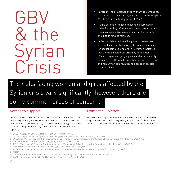## GBV & the Ian Crisis

- In Jordan, the prevalence of early marriage among all registered marriages for Syrians increased from 25% in 2013 to 31% in the first quarter of 2014.<sup>1</sup>
- A third of female-headed households surveyed by UNHCR said they left the house never, rarely, or only when necessary. Women are heads of households for one in four refugee families.<sup>2</sup>
- In the Kurdistan region of Iraq, one in five women surveyed said they had directly been offered money for sexual services, and one in 10 women indicated that they had been pressurized by government officials, organised gangs, police and other security personnel, NGOs, and by members of both the Syrian and non-Syrian communities to engage in physical relationships.3

The risks facing women and girls affected by the Syrian crisis vary significantly; however, there are some common areas of concern.

#### Access to support

In some places, services for GBV survivors either do not exist at all or are very limited, and survivors are reluctant to report GBV due to fear of stigma, social exclusion, so-called 'honour killings,' and other reprisals. This prevents many survivors from seeking life-saving support.

#### Domestic Violence

Syrian women report that violence in the home has increased with displacement and conflict. In Jordan, around half of all survivors accessing GBV services suffered some form of domestic violence. <sup>4</sup>

- 1. UNCEF, A Study on Early Marriage in Jordan, 2014, uni.cf/1yjqwlU
- 2. UNHCR, Women Alone, The fight for survival by Syria's refugee women, 2014, http://bit.ly/1n2LUFQ
- 3. UN Women, We just keep silent: Gender-based violence amongst Syrian refugees in the Kurdistan Region of Iraq, 2014, http://bit.ly/1rUWPLu
- 4. SGBV Sub-Working Group, SGBV Briefing note, March 2014, bit.ly/1rZSkJO
- 5. IRC, Are We Listening? Acting on Our Commitments to Women and Girls Affected by the Syrian Conflict, 2014, http://bit.ly/1uJZtAY
- 6. HRW, Syria: Extremists Restricting Women's Rights, 2014, http://bit.ly/1cbQc8G
- 7. IRC, Are We Listening? Acting on Our Commitments to Women and Girls Affected by the Syrian Conflict, 2014, bit.ly/1rZSkJO
- 8. Ibidem
- 9. The Independent International Commission of Inquiry on the Syrian Arab Republic, http://bit.ly/1mS7WMU
- 10.MADRE, Seeking Accountability And Demanding Change, http://bit.ly/1stxDGq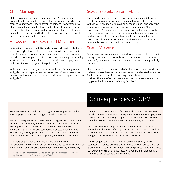#### Child Marriage

Child marriage of girls was practiced in some Syrian communities even before the war, but the conflict has contributed to girls getting married younger and under different conditions – for example, to older men not known to the family of the bride. Economic insecurity, the perception that marriage will provide protection for girls in an unstable environment, and lack of alternative opportunities are all factors contributing to this issue.5

#### Harassment and Restricted Movement

In Syria itself, women's mobility has been curbed significantly. Many women and girls have limited movement outside the home due to fear of sexual violence and harassment. In some cases, extremist armed groups have placed restrictions on women and girls, including strict dress codes, denial of access to education and employment, and limitations on engagement in public life.<sup>6</sup>

While freedom of mobility was somewhat limited for many women and girls prior to displacement, increased fear of sexual assault and harassment has placed even further restrictions on displaced women and girls. 7

#### Sexual Exploitation and Abuse

There has been an increase in reports of women and adolescent girls being sexually harassed and exploited by individuals charged with delivering humanitarian aid, or by those in positions of relative economic or political power in their own communities. Many have reported<sup>8</sup> being asked to engage in 'special friendships' with leaders in camps, religious leaders, community leaders, employers, landlords, and others. These often include being asked for sex or an agreement to marry, and sometimes involve men working in community organizations and distributing goods.

#### Sexual Violence

Sexual violence has been perpetuated by some parties to the conflict during house searches, as well as at checkpoints and in detention centres. Syrian women have been detained, tortured, and physically abused.<sup>9</sup>

Upon release from detention and after house raids, women who are believed to have been sexually assaulted can be alienated from their families. Viewed as 'unfit for marriage,' some have been divorced or killed. The fear of sexual violence and its consequences is also a trigger in the displacement of many families.10

GBV has serious immediate and long-term consequences on the sexual, physical, and psychological health of survivors.

Health consequences include unwanted pregnancies, complications from unsafe abortions, and sexually transmitted infections including HIV. Injuries caused by GBV can cause both acute and chronic illnesses. Mental health and psychosocial effects of GBV include depression, anxiety, post-traumatic stress, and suicide. Violence also affects children's survival, development, and school participation.

Survivors of GBV may suffer further because of the stigma associated with this kind of abuse. When ostracised by their family or community, survivors are affected both economically and socially.

1. World Health Organization, Global and Regional Estimates of Violence<br>
never seen as related to their experience1 Against Women, 2013, http://bit.ly/1oTfGVG

#### Consequences of GBV

The impact of GBV extends to families and communities. Families can also be stigmatised as a consequence of GBV. For example, when children are born following a rape, or if family members choose to stand by a survivor, some in their community may avoid them.

GBV adds to the cost of public health and social welfare systems, and reduces the ability of many survivors to participate in social and economic life. It also contributes to a culture of fear, where women and girls are less likely to get involved in public life.

The consequences of GBV might not be recognised by health or psychosocial service providers as evidence of exposure to GBV. For example some survivors may not show any physical signs of violence but experience chronic headaches. As a result, their diagnoses is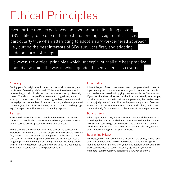## Ethical Principles

Even for the most experienced and senior journalist, filing a story GBV is likely to be one of the most challenging assignments. This is particularly true when attempting to adopt a survivor-centered approach i.e., putting the best interests of GBV survivors first, and adopting a 'do no harm' strategy.

However, the ethical principles which underpin journalistic best practice should also guide the way in which gender-based violence is covered.

#### Accuracy

Getting your facts right should be at the core of all journalism, and this is true of covering GBV as well. Whilst your interviews should be sensitive, you should also ensure that your reporting is factually correct. You should be specific when mentioning crimes, and not attempt to report on criminal proceedings unless you understand the legal processes involved. Some reporters try and use euphemistic language (e.g., 'had his way with her') rather than accurate language (e.g., 'he raped her'). This leads to misleading reports.

#### Fairness

You should always be fair with people you interview, and when speaking to people who have experienced GBV, you have an extra duty of care to protect potentially vulnerable sources.

In this context, the concept of 'informed consent' is particularly important: this means that the person you interview should be made fully aware of the consequences of appearing in the media. Many GBV survivors who have spoken 'on the record' have later faced a range of problems resulting from being identified, including attacks and community rejection. For your interview to be fair, you need to inform your interviewee of these potential risks.

#### Impartiality

It is not the job of a responsible reporter to judge or discriminate. It is particularly important to ensure that you do not mention details that can be interpreted as implying blame towards the GBV survivor. If you mention the clothes worn at the time of an attack, for example, or other aspects of a survivor/victim's appearance, this can be seen to imply judgment of them. This can be particularly true of features: some journalists may attempt to add detail and 'colour,' which can unintentionally focus the onus of blame away from the perpetrator.

#### Duty to Inform

When reporting on GBV, it is important to distinguish between what is 'in the public interest' and what is 'of interest to the public.' Some GBV stories feature high-profile figures and contain lots of personal detail: this tends to treat the subject in a sensationalist way, with no useful information given for GBV survivors.

#### Respecting Privacy

Principled, ethical journalism means respecting the privacy of both GBV survivors and bereaved families. You should also be wary of 'jigsaw identification' when granting anonymity. This happens where audiences piece together details - such as location, age, clothing, or family members - even though you don't name a survivor, or show t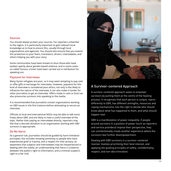#### Sources

You should always protect your sources. For reporters unfamiliar to the region, it is particularly important to gain relevant local knowledge as to how to ensure this, usually through local organisations and agencies. You should also ensure that you extend this protection to your fixers, translators, drivers, interviewees, and others helping you with your story.

Some communities have been known to shun those who have spoken openly about gender-based violence, and in some cases, so-called 'honour crimes' have been carried out in retribution for speaking out.

#### Payment for Interviews

Many Syrian refugees are poor, so it may seem tempting to pay cash or offer gifts in exchange for interviews. However, payment for this kind of interview is considered poor ethics; not only is this likely to influence the nature of the interview, it can also make it harder for other journalists to get an interview. Offers made in cash or kind can also pressurise survivors into speaking to the media.

It is recommended that journalists contact organisations working on GBV issues in the first instance before attempting to secure an interview.

Officials at local and international NGOs may be able to talk more freely about GBV, and are likely to have a useful overview of the topic. Rather than paying an interviewee directly, reporters may feel that a discreet donation to an organization working with GBV survivors is appropriate.

#### Do No Harm

As a general rule, journalists should be guided by harm limitation principles; this includes showing sensitivity to people who have experienced grief or trauma, and a respect for their privacy; an awareness that subjects and interviewees may be inexperienced in dealing with the media; an understanding that there is a balance between the public's right to information, and a criminal suspect's right to a fair trial.



#### A Survivor-centered Approach

A survivor-centered approach seeks to empower survivors by putting them at the centre of the healing process. It recognises that each person is unique, reacts differently to GBV, has different strengths, resources and coping mechanisms, has the right to decide who should know about what has happened to them, and what should happen next.

GBV is a manifestation of power inequality: if people around survivors in a position of power (such as reporters and service providers) impose their perspective, they can unintentionally create another experience where the survivors feel further disempowerment.

Dealing with GBV survivors in a survivor-centered manner involves prioritizing their best interest, and applying the guiding principles of safety, confidentiality, respect, and non-discrimination.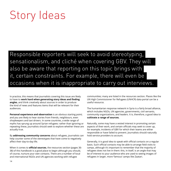## Story Ideas

Responsible reporters will seek to avoid stereotyping, sensationalism, and cliché when covering GBV. They will also be aware that reporting on this topic brings with it, certain constraints. For example, there will even be occasions when it is inappropriate to carry out interviews.

In practice, this means that journalists covering this issue are likely to have to **work hard when generating story ideas and finding angles**, and think creatively about sources in order to produce the kind of news and features items that will be relevant for their audiences.

**Personal experience and observation** is an obvious starting point; and you are likely to hear stories from friends, neighbours, even shopkeepers and taxi drivers. In some countries, a wide range of myths has sprung up around Syrian refugees: rather than ignoring or repeating these, journalists should seek to explore whether these are actually true.

By **addressing community concerns** about refugees, journalists can help counter some of the stereotypes that have come to negatively affect their day-to-day life.

When it comes to **official sources**, the resources section (pages 36- 38) of this handbook is a good place to begin although you should, of course, nurture your own contacts. There are a number of local and international NGOs and UN agencies working with refugee

communities; many are listed in the resources section. Places like the UN High Commissioner for Refugees (UNHCR) data portal can be a useful resource.

The humanitarian response network in Syria is a fairly broad alliance, which includes NGOs, UN agencies, governments, civil servants, community organizations, and leaders. It is, therefore, a good idea to **cultivate a range of sources.**

Naturally, some may have a vested interest in promoting certain aspects of their work, and certain officials may seek to cover up, for example, incidents of GBV for which their teams are either responsible or have failed to prevent. Journalists should naturally hold service providers to account.

Generally, it is good idea to speak with official contacts on a regular basis. Such official contacts may be able to arrange field visits to camps, although it's important to remember that the majority of refugees does not live in them: this, in itself, is an angle that may be of interest to your audience who are used to seeing images of refugees in larger, more 'famous' camps like Zaatari.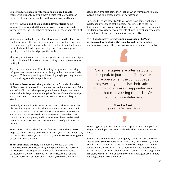You should also **speak to refugees and displaced people** themselves: it is only by giving them a voice that journalists can ensure that their stories are told with compassion and humanity.

This will involve **building up a certain level of trust**: some journalists have reported that many Syrians are reluctant to be interviewed for the fear of being targeted, or because of mistrust of the media.

Whilst you should not rely on it, **desk research has its place**. You can look at what other media organisations are producing on this topic, and keep up to date with the wires and social media. It can be particularly useful to keep across blogs and Facebook pages created by refugees and displaced people themselves.

Many organisations produce useful reports, surveys, and campaigns that can be a useful source of data and story ideas: many also have mailing lists.

There are also a number of 'participatory' programmes involving refugees themselves; these include photography, theatre, and video projects. While also providing an interesting angle, you may be able to source images and footage this way.

**Follow-up features and 'diary stories'** allow for in-depth analysis of GBV issues. So you could write a feature on the anniversary of the start of conflict, or make a package in advance of a planned event, such as the '16 Days of Activism Against Gender Violence' campaign, which starts each November, or International Woman's Day in March.

Inevitably, these will be features rather than 'hard news' items. Such planned items give journalists the advantage of extra time in which to carry out research or record additional interviews. Some editors welcome such pre-prepared 'behind-the-news' material on their running orders and pages, and in some cases, these can be used later in a bigger news story on the intended day of publication or broadcast.

When thinking about ideas for GBV features, **think about 'news pegs**,' i.e., items already on the news agenda you can 'peg' your story to. This will help when you are pitching your story or convincing your editor to include the item.

**Think about new themes**, and not merely those that have already been covered extensively; early pregnancy and marriage, for example, have frequently appeared in many media outlets, particularly in the West. In some host countries, there has been a greater focus on sex work and trafficking, which has led to an

assumption amongst some men that all Syrian women are sexually available, and to increased levels of harassment.

However, there are other GBV topics which have somewhat been overlooked by sections of the media. These include things like domestic violence, privacy issues faced by refugees living in cramped conditions, access to services, the role of men in combating violence, unemployment, and poverty and its impact on GBV.

As well as alternative subjects, **media coverage of GBV can be improved by exploring the issue from different angles**. Journalists can explore the issue from a survivor perspective or by



Syrian refugees are often reluctant to speak to journalists. They were more open when the conflict began, they were trying to rise their voices. But now, many are disappointed and think that media using them. They've become more defensive.

> **Maurice Aaek,**  *Syrian journalist based in Beirut*

examining its impact on families, whilst approaching the topic from a legal or health perspective is likely to lead to a more informational piece.

And finally, sometimes unusual or quirky stories can put a **human face to the Syrian refugee crisis**. These may not be directly about GBV, but more about the representation of Syrian girls and women. For example, there is a Syrian girls football team at Zaatari camp: you could use a big international football game as a 'news peg' to tell this story, which can help show the world that refugees are ordinary people getting on with their lives.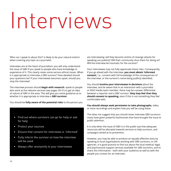# Interviews

'Who can I speak to about this?' is likely to be your natural instinct when covering any topic as a journalist.

Interviews are at the heart of journalism; you will only understand the issue of GBV if you speak to people who have knowledge or experience of it. This clearly raises some serious ethical issues. When is it appropriate to interview a GBV survivor? How detailed should your questions be? If your interviewee becomes upset, should you stop the interview?

The interview process should **begin with research**: speak to people who work at the relevant services (see pages 30-31) to get an idea of nature of GBV in the area. This will give you some guidance as to whether it is appropriate to interview a **GBV survivor.** 

You should be **fully aware of the potential risks** to the person you

- Find out where survivors can go for help or ask for help
- Protect your sources
- Ensure that consent for interviews is 'informed'
- Fully inform the survivor on how the interview will be used
- Always offer anonymity to your interviewee

are interviewing: will they become victims of revenge attacks for speaking out publicly? Will their community shun them for doing so? Will the interview be traumatic for the survivor?

Your interviewee may not fully appreciate these risks. Consequently, if you go ahead with the interview, **you must obtain 'informed consent,**' i.e., consent with full knowledge of the consequences of the interview, or the survivor's name being publicly identified.

You should **involve your interviewee in decisions** about the interview, and be aware that in an interaction with a journalist or NGO media team member, there may be a power differential between a reporter and a GBV survivor: **they may feel that they should consent to speaking,** even if this is not something they feel comfortable with.

**You should always seek permission to take photographs**, video, or voice recordings and explain how you will be using these.

This does not suggest that you should never interview GBV survivors: many have given powerful testimonies that have brought the issue to public attention.

It is only when the issue of GBV is in the public eye that adequate resources will be allocated towards services to help survivors, and campaigns aimed at its prevention.

However, you may be able to produce an equally effective story by speaking to local organisations working with GBV survivors, or UN agencies. It is good practice to find out about the local medical, legal, and psychosocial support services available for GBV survivors, and to share this information - both with your audience as well as with the people you contact for an interview.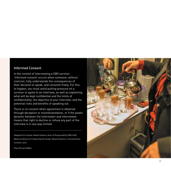#### Informed Consent

In the context of interviewing a GBV survivor, 'informed consent' occurs when someone, without coercion, fully understands the consequences of their decision to speak, and consents freely. For this to happen, you must avoid putting pressure on a survivor to agree to an interview, as well as explaining what will be kept confidential and the limits of confidentiality, the objective of your interview, and the potential risks and benefits of speaking out.

There is no consent when agreement is obtained through deception or misinterpretation, or if the power dynamic between the interviewer and interviewee means that right to decline or refuse any part of the interview is in any way limited.

Adapted from Gender-Based Violence Area of Responsibility (GBV AoR), Media Guidelines for Reporting On Gender-Based Violence in Humanitarian Contexts, 2013

http://bit.ly/1uNd5te

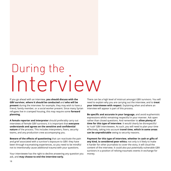## During the Interview

If you go ahead with an interview, **you should discuss with the GBV survivor, where it should be conducted** and **who will be present** during the interview: for example, they may wish to have a friend, family member, or a social worker present. Since many Syrian refugees live in cramped housing, this may require some **forward planning.**

**A female reporter and interpreter** should preferably carry out interviews of female GBV survivors; it is important that **everyone understands and agrees on the sensitive and confidential nature** of the process. This includes interpreters, fixers, security teams, and any production crew accompanying you.

**Beware of the effects of questioning** that can reactivate the pain and grief associated with a survivor's exposure to GBV: they have been through traumatising experiences, so you need to be mindful not to intentionally cause additional trauma with your questions.

Your interviewee has the right to decline answering any question you ask, and **may choose to end the interview early.** 

There can be a high level of mistrust amongst GBV survivors. You will need to explain why you are carrying out the interview, and to **treat your interviewee with respect**. Explaining when and where an interview will appear is part of this process.

**Be specific and accurate in your language**, and avoid euphemistic expressions whilst remaining respectful in your manner. Ask open rather than closed questions. And remember to **allow plenty of time for this type of interview**. It would clearly be disrespectful to 'rush' GBV interviewees. As such, you will need to plan your time effectively, taking into account **travel time, which in some areas can be unpredictable** owing to security reasons.

**Payment for this type of interview, whether in cash or gifts of any kind, is considered poor ethics**; not only is it likely to make it harder for other journalists to cover the story, it will cloud the content of the interview. It could also put potentially vulnerable GBV survivors in a position of reliving traumatic events in exchange for money.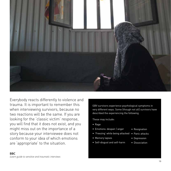

Everybody reacts differently to violence and trauma. It is important to remember this when interviewing survivors, because no two reactions will be the same. If you are looking for the 'classic victim' response, you will find that it does not exist, and you might miss out on the importance of a story because your interviewee does not conform to your idea of which emotions are 'appropriate' to the situation.

GBV survivors experience psyvhological symptoms in very different ways. Some (though not all) survivors have described the experiencing the following

These may include:

- Rage
- Emotions: despair / anger
- 'Freezing' while being attacked
- Memory lapses
- Self-disgust and self-harm
- Resignation
- Panic attacks
- Depression
- Dissociation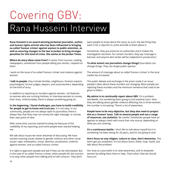### Covering GBV: Rana Husseini Interview

**Rana Husseini is an award-winning Jordanian journalist, author, and human rights activist who has been influential in bringing so-called 'honour crimes' against women to public attention, as well as securing changes to the law in Jordan to bring stronger penalties for this kind of crime. She works at the Jordan Times.**

**Where do story ideas come from?** It varies; from sources, reading newspapers, sometimes from people telling you stories. I expand on them.

I work on the issue of so-called 'honour crimes' and violence against women.

**I talk to people**; they include families, neighbours, forensic experts, psychologists, former judges, lawyers, and social workers, depending on the kind of story.

In addition to reporting on murders against women, I do features on women who are running hotlines, or interview women to convey their story. Unfortunately, there is always something going on.

**In the beginning, I faced challenges, you have to build credibility for people to get to know and trust you**. It is not easy. In our community, people are not always open to journalists; there is always fear that they may not convey the right message, or convey their own point of view.

After some time, sources started trusting me because of the credibility of my reporting, and some people even started helping me.

We talk about issues we never dreamed of discussing. We have started covering issues related to gender violence and other social issues: rape, molestation, incest, abortion, prostitution, violence against women, and so-called 'honour crimes.'

It is right to approach people and ask if they can be interviewed. But in the case of so-called 'honour crimes,' when people kill, the concern is to stop other people from talking and to halt rumours. They don't

want people to know about the story; as such, the last thing they want is for a reporter to come and talk to them about it.

Sometimes, they put pressure on authorities and it makes the investigation secretive. For certain murders, they say 'coverage is banned, and anyone who writes will be subjected to prosecution.'

**To what extent can journalists change things?** Journalists can change things. They can shape public opinion.

The amount of coverage about so-called 'honour crimes' in the local media has increased.

The public debate and exchange in the press made it an issue; people's ideas about these murders are changing. More people are rejecting these murders and the minimum sentence that used to be given to killers.

**My advice is to continually report about GBV**. It's a problem worldwide, not something that's going to end anytime soon. Now they are talking about gender violence affecting one in three women; the number is increasing. There's a lot of awareness.

**People have to be very objective, but they also need to project this as a 'human' issue. Talk to several people and use a range of resources, use statistics**. Be careful. Sometimes people have an agenda so always check with more than one source, depending on what you are covering.

**It's a continuous battle.** I don't like to talk about myself but it is something I've been doing for 20 years, and it's not going to end.

**Don't focus on any religion, culture or class. Don't demonize.** This won't get you anywhere. It's not about Sunni, Shiite, Iraqi, Yazidi, Just talk about the problem.

Our duty as a journalist is to raise awareness, and to empower women by telling them there is help. That's what I feel we should focus on.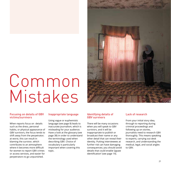## Common Mistakes



#### Focusing on details of GBV victims/survivors

When reports focus on details such as the dress, personal habits, or physical appearance of GBV survivors, the focus tends to shift away from the perpetrator; at worst, this can result in blaming the survivor, which contributes to an atmosphere where it becomes more difficult for women to report GBV crimes or access services, and easier for perpetrators to go unpunished.

#### Inappropriate language

Using vague or euphemistic language (see page 8) leads to inaccurate journalism, which is misleading for your audience. Have a look at the glossary (see page 38) in order to understand the terminology used when describing GBV. Choice of vocabulary is particularly important when covering this topic.

#### Identifying details of GBV survivors

There will be many occasions when you will speak to GBV survivors, and it will be inappropriate to publish or broadcast their name or any other detail that can reveal their identity. Putting interviewees at further risk can have damaging consequences; you should avoid details that could enable 'jigsaw identification' (see page 14).

#### Lack of research

From your initial story idea, through to reporting during criminal proceedings and following up on stories, journalists need to research GBV thoroughly. This means speaking to experts, carrying out desk research, and understanding the medical, legal, and social angles to GBV.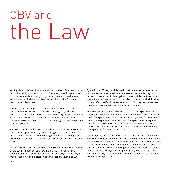## GBV and the Law

Writing about GBV requires a clear understanding of certain aspects of criminal, civil, and traditional law. These vary greatly from country to country - you should carry out your own research on the laws in your area, and where possible, seek further advice from your organization's legal team.

Having lawyers amongst your contacts is also useful – not just for GBV stories. Laws relating to GBV are changing, so you'll need to keep up to date. This, in itself, can be a news story, as with Lebanon's 2014 Law on Protection of Women and Family Members from Domestic Violence. The first convictions relating to a new law provide a follow-up story.

Negative attitudes and practices of police and judicial staff towards GBV survivors prevent many from seeking legal redress. There is often a lack of resources to pursue legal action and challenges in providing corroborating evidence from witnesses for crimes relating to GBV.

There are several areas of controversial legislation in countries affected by the Syrian refugee crisis: for example, a rapist in Iraq, Jordan, Lebanon, and Syria can escape punishment by marrying his victim, and marital rape is not criminalized in Jordan, Lebanon, Egypt, and Syria.

Egypt, Jordan, Turkey, and Syria criminalize non-penetrative sexual contact, sometimes called 'indecent assault.' Jordan, Turkey, and Lebanon have a specific law against domestic violence. Provisions around physical assault exist in the other countries, and whilst they do not refer specifically to issues around GBV, they can sometimes be used to prosecute cases of domestic violence.

However, in Syria, Egypt, Lebanon, and Jordan, the penalties for physical violence are determined in accordance with the number of days of hospitalisation faced by the victim. In Jordan, for example, if the victim requires less than 10 days of hospitalization, the judge has the authority to dismiss the case at his own discretion as a 'minor offence.' Mandatory prosecution is only required when the survivor is hospitalised for more than 20 days.

Jordan, Egypt, Syria, and Iraq have legislative provisions providing reduced sentences for a man who kills his wife if she is caught in the act of adultery, or who kills a female relative for 'illicit' sexual conduct – so-called 'honour crimes.' However, in recent years, both Syria and Jordan have increased the required sentence around so-called 'honour crimes.' In Egypt and Iraqi Kurdistan, where female genital mutilation (FGM) is still common, laws have recently been passed to criminalise the practice.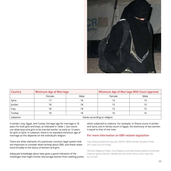

| <b>Country</b> | Minimum Age of Marriage      |      | Minimum Age of Marriage With Court approval |      |  |  |
|----------------|------------------------------|------|---------------------------------------------|------|--|--|
|                | Female                       | Male | Female                                      | Male |  |  |
| Syria          |                              | 18   |                                             |      |  |  |
| Jordan         | 18                           | 18   |                                             | 15   |  |  |
| Iraq           | 18                           | 18   |                                             | 15   |  |  |
| Turkey         | 18                           | 18   | 16                                          | 16   |  |  |
| Lebanon        | Varies according to religion |      |                                             |      |  |  |

In Jordan, Iraq, Egypt, and Turkey, the legal age for marriage is 18 years for both girls and boys, as indicated in Table 1, but courts can allow boys and girls to be married earlier: as early as 13 years for girls in Syria. In Lebanon, there is no standard minimum age of marriage as this depends on the individual's religion.

There are other elements of a particular country's legal system that are important to consider when writing about GBV, and these relate more broadly to the status of women and girls.

Adequate knowledge about laws gives a good indication of the challenges that might further discourage women from seeking justice

when subjected to violence. For example, in Sharia courts in Jordan and Syria, and in family courts in Egypt, the testimony of two women is equal to that of one man.

#### For more information on GBV related-legislation

http://www.arabwomenorg.org/; UNICEF, MENA Gender Equality Profile, 2011,http://uni.cf/1vrYfg2

The Due Diligence Project, Due Diligence and State Responsibility to Eliminate Violence Against Women, Middle East and North Africa, 2014, http://bit. ly/1zo1HZ9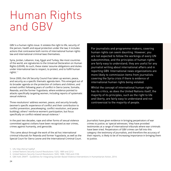### Human Rights and GBV

GBV is a human rights issue. It violates the right to life, security of the person, health and equal protection under the law; it includes actions that contravene both norms of international human rights law and international criminal laws themselves.

Syria, Jordan, Lebanon, Iraq, Egypt and Turkey, like most countries of the world, are signatories to the Universal Declaration on Human Rights (UDHR). As such, these states 'assume obligations and duties under international law to respect, to protect, and to fulfill human rights'. 1

Since 2000, the UN Security Council has taken up women, peace, and security as a specific thematic agenda item. This emerged out of its broader agenda on the protection of civilians and children, and armed conflict following years of conflict in Sierra Leone, Somalia, Rwanda, and the former Yugoslavia, where evidence pointed to attacks specifically targeting women, including reports of systematic sexual violence.

Three resolutions<sup>2</sup> address women, peace, and security broadly (women's specific experience of conflict and their contribution to conflict prevention, peacekeeping, conflict resolution, and peace building); others<sup>3</sup> reinforce women's participation, but focus specifically on conflict-related sexual violence.<sup>4</sup>

In the past two decades, rape and other forms of sexual violence committed against civilians have been recognized as war crimes, crimes against humanity, and genocide.

 This came about through the work of the ad hoc international criminal tribunals for Rwanda and former Yugoslavia, as well as the Special Court for Sierra Leone and the International Criminal Court. For journalists and programme-makers, covering human rights can seem daunting. However, you are not expected to follow the workings of every UN subcommittee, and the principles of human rights are fairly easy to understand; they are useful for any journalist writing about international affairs and in reporting GBV. International news organizations are more likely to commission items from journalists covering the Syria crisis if there is evidence of international human rights being violated.

Whilst the concept of international human rights has its critics, as does the United Nations itself, the majority of its principles, such as the right to life and liberty, are fairly easy to understand and not controversial to the majority of people.

Journalists have given evidence in bringing perpetrators of war crimes to justice; as 'special witnesses,' they have provided testimonies at a range of international tribunals where war criminals have been tried. Perpetrators of GBV crimes can fall into this category: the testimony of journalists, and therefore the accuracy of their reports, is likely to be of increasing importance in bringing them to justice.

<sup>1.</sup> UN, http://bit.ly/1zptEyF

<sup>2.</sup> United Nations Security Council Resolutions 1325, 1889 and 2212

<sup>3.</sup> United Nations Security Council Resolutions 1820, 1888, 1960 and 2106

<sup>4.</sup> GBV AoR, DRAFT - Guidelines for Integrating Gender-Based Violence Interventions in Humanitarian Action, 2014.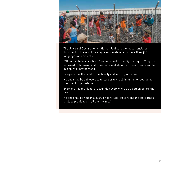

The Universal Declaration on Human Rights is the most translated document in the world, having been translated into more than 400 languages and dialects.

"All human beings are born free and equal in dignity and rights. They are endowed with reason and conscience and should act towards one another in a spirit of brotherhood.

Everyone has the right to life, liberty and security of person.

No one shall be subjected to torture or to cruel, inhuman or degrading treatment or punishment.

Everyone has the right to recognition everywhere as a person before the law.

No one shall be held in slavery or servitude; slavery and the slave trade shall be prohibited in all their forms."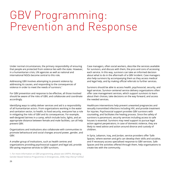### GBV Programming: Prevention and Response

Under normal circumstances, the primary responsibility of ensuring that people are protected from violence lies with the state. However, in a humanitarian crisis, UN agencies as well as national and international NGOs become central to this role.

Addressing GBV involves attempting to prevent violence by addressing its causes, and responding to the consequences of violence in order to meet the needs of survivors.1

For GBV prevention and response to be effective, all those involved should be aware of the risks of GBV, and collaborate and coordinate accordingly.

Identifying ways to safely deliver services and aid is a responsibility of all humanitarian actors. From organizations working in the water and sanitation sector, to health, to food security, everyone has a role in mitigating the risks of GBV and its consequences. For example, well-designed latrines in a camp, which include locks, lights, and an appropriate distance between female and male facilities, can all help prevent GBV.

Organizations and institutions also collaborate with communities to promote behavioural and social changes around power, gender, and GBV.

A smaller group of institutions, such as health centres and organizations providing psychosocial support and legal aid, provide life-saving response services to GBV survivors.

1. For more information on GBV programming, please see UNFPA, Managing Gender-Based Violence Programmes in Emergencies, 2008, http://bit.ly/1vlV6sZ Case managers, often social workers, describe the services available for survivors, and discuss with them, the pros and cons of accessing each service. In this way, survivors can take an informed decision about what to do in the aftermath of a GBV incident. Case managers also help survivors by accompanying them as they access medical and legal help, and by making official referrals to further services.

Survivors should be able to access health, psychosocial, security, and legal services. Survivor-centered service delivery organizations often offer case management services, which support survivors to learn about their choices, take decisions on the way forward, and access the needed services.

Healthcare interventions help prevent unwanted pregnancies and sexually transmitted infections including HIV, and provide treatment for injuries. Psychosocial support provides GBV survivors with counseling, and facilitates the healing process. Since the safety of survivors is paramount, security services including access to safe houses is essential. Survivors may need support to pursue legal action against perpetrators; in case of domestic violence, they are likely to need advice and action around divorce and custody of children.

In Syria, Lebanon, Iraq, and Jordan, service providers offer 'Safe Spaces,' where women and girls can develop their skills and socialise, and if necessary access specialised response to GBV services. Safe Spaces and the activities offered through them, help organisations to create ties with the community.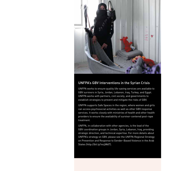

#### UNFPA's GBV Interventions in the Syrian Crisis

UNFPA works to ensure quality life-saving services are available to GBV survivors in Syria, Jordan, Lebanon, Iraq, Turkey, and Egypt. UNFPA works with partners, civil society, and governments to establish strategies to prevent and mitigate the risks of GBV.

UNFPA supports Safe Spaces in the region, where women and girls can access psychosocial activities as well as other GBV response services. It works closely with ministries of health and other health providers to ensure the availability of survivor-centered post-rape treatment.

UNFPA, in collaboration with other agencies, is the lead of the GBV coordination groups in Jordan, Syria, Lebanon, Iraq, providing strategic direction, and technical expertise. For more details about UNFPA's strategy on GBV, please see the UNFPA Regional Strategy on Prevention and Response to Gender-Based Violence in the Arab States (http://bit.ly/1vs3WdT).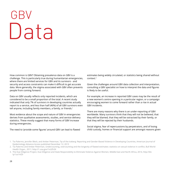## GBV Data

How common is GBV? Obtaining prevalence data on GBV is a challenge. This is particularly true during humanitarian emergencies, where there are limited services for GBV and its survivors - and security and access constraints can make it difficult to get accurate data. More generally, the stigma associated with GBV often prevents people from coming forward.

Data on GBV usually reflects only reported incidents, which are considered to be a small proportion of the total. A recent study indicated that only 7% of survivors in developing countries actually report to a service, and less than half (46%) of all GBV survivors even tell anyone, including family members, a family, or friends.<sup>1</sup>

Most evidence about the scope and nature of GBV in emergencies derives from qualitative assessments, studies, and service delivery statistics. These mostly suggest that many forms of GBV increase during emergencies.

The need to 'provide some figures' around GBV can lead to flawed

estimates being widely circulated, or statistics being shared without context<sup>2</sup>

Given the challenges around GBV data collection and interpretation, consulting a GBV specialist on how to interpret the data and figures is likely to be useful.

For example, an increase in reported GBV cases may be the result of a new women's centre opening in a particular region, or a campaign encouraging women to come forward rather than a rise in actual GBV incidents.

There are many reasons why there is an under-reporting of GBV worldwide. Many survivors think that they will not be believed, that they will be blamed, that they will be ostracised by their family, or that they will be rejected by their husbands.

Social stigma, fear of repercussions by perpetrators, and of losing child custody, homes or financial support are amongst reasons given

<sup>1.</sup> Tia Palermo, Jennifer Bleck, and Amber Peterman, Tip of the Iceberg: Reporting and Gender-Based Violence in Developing Countries, American Journal of Epidemiology Advance Access published December 12, 2013

<sup>2.</sup> Tia Palermo and Amber Peterman, Undercounting, overcounting and the longevity of flawed estimates: statistics on sexual violence in conflict, Bull World Health Organ., 2011; http://1.usa.gov/1vUZh3X

<sup>3.</sup> The Due Diligence Project, Due Diligence and State Responsibility to Eliminate Violence Against Women, Middle East and North Africa, 2014, http://bit. ly/1zo1HZ9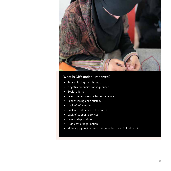

#### What is GBV under - reported?

- Fear of losing their homes
- Negative financial consequences
- Social stigma
- Fear of repercussions by perpetrators
- Fear of losing child custody
- Lack of information
- Lack of confidence in the police
- Lack of support services
- Fear of deportation
- High cost of legal action
- Violence against women not being legally criminalised 3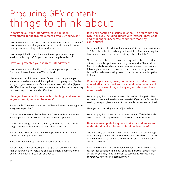### Producing GBV content: things to think about

#### In carrying out your interviews, have you been sympathetic to the trauma suffered by a GBV survivor?

Have you made every effort to interview without causing re-trauma? Have you made sure that your interviewee has been made aware of appropriate counselling and support services?

Have you pointed them in the direction of appropriate support services in this region? Do you know what help is available?

#### Have you protected your sources/interviewees?

Have you made sure that there will be no negative repercussions from your interaction with a GBV survivor?

(Remember that 'informed consent' means that the person you speak to should understand the implications of 'going public' with a story, and you have a duty of care in these cases. Also, that 'jigsaw identification' can be a problem; a false name or 'blurred screen' may not be enough to prevent identification).

#### Have you been specific in your terminology, and avoided vague or ambiguous euphemisms?

For example, 'The guard molested her' has a different meaning from 'the guard raped her.'

(This is because terms like 'molest,' and 'sexual activity' are vague, while rape is a specific crime that tells us what happened).

If you are covering a court case, have you referred to the specific alleged crimes and sentence as they relate to the law?

For example, 'He was found guilty of rape which carries a death sentence under Jordanian law.'

Have you avoided prejudicial descriptions of the victim?

For example, 'She was wearing make-up at the time of the attack' (this description is not relevant, and could imply judgment of the person who has suffered from an attack).

If you are hosting a discussion or call-in programme on GBV, have you included guests with 'expert' knowledge, and challenged inaccurate comments made by contributors?

For example, if a caller claims that a woman 'did not report an incident of GBV to the police immediately and must therefore be making it up,' have you explained the reasons that might be behind this?

(This is because there are many enduring myths about rape that often go unchallenged. A woman may not report a GBV incident for fear of reprisals from her attacker, because she was disorientated following her trauma, or because of inadequate legal systems. Lack of immediate reporting does not imply she has made up the incident).

#### Where appropriate, have you made sure that you have quoted all your 'expert sources,' and included a direct link to the relevant page of any organization you have mentioned?

For example, if you mention a particular NGO working with GBV survivors, have you linked to their material? If you work for a radio station, have you given details of how people can access services?

Have you avoided 'single source' journalism?

For example, if you have quoted a government official talking about GBV, have you also spoken to a local NGO about the issue?

#### Have you used plain language that your audience can understand, and explained unfamiliar language?

The glossary (see pages 38-39) explains some of the terminology used by people who work on GBV issues: you are likely to have to explain or rephrase some of these terms in plain language for a general audience.

Print and web journalists may need to explain to sub-editors, the reasons for specific terminology used in a particular article; more generally, you may need to explain to colleagues why you have covered GBV stories in a particular way.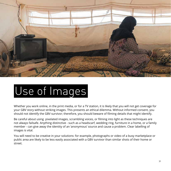

## Use of Images

Whether you work online, in the print media, or for a TV station, it is likely that you will not get coverage for your GBV story without striking images. This presents an ethical dilemma. Without informed consent, you should not identify the GBV survivor; therefore, you should beware of filming details that might identify.

Be careful about using pixelated images, scrambling voices, or filming into light as these techniques are not always failsafe. Anything distinctive - such as a headscarf, wedding ring, furniture in a home, or a family member - can give away the identity of an 'anonymous' source and cause a problem. Clear labelling of images is vital.

You will need to be creative in your solutions: for example, photographs or video of a busy marketplace or public area are likely to be less easily associated with a GBV survivor than similar shots of their home or street.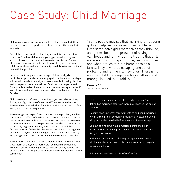## Case Study: Child Marriage

Children and young people often suffer in times of conflict; they form a vulnerable group whose rights are frequently violated with impunity.

Part of the reason for this is that they are not listened to: often, adults don't believe children and young people when they are victims of violence; this can lead to a culture of silence. They are often powerless, and it can be much easier to ignore, for example, child sexual abuse within a community than it is to face up to it and deal with the problem.

In some countries, parents encourage children, and girls in particular, to get married at a young age in the hope that marriage will benefit them both socially and economically. In reality, this has serious repercussions on the lives of children who experience it. For example, the risk of maternal death for mothers aged under 15 years in low- and middle-income countries is double that of older females.

Child marriage in refugee communities in Jordan, Lebanon, Iraq, Turkey, and Egypt is one of the main GBV concerns in the area. The issue has received a lot of media attention during the past few years, with mixed consequences.

The coverage has helped focus attention on the problem, and has contributed to efforts of the humanitarian community to mobilize resources and to establish services to work on the issue. However, this media attention has also perpetrated the idea that any Syrian girl is ready to get married very young. Syrian girls and their families reported feeling that the media contributed to a negative perception of Syrian women and girls, and sometimes reacted by increasing isolation and control over young women in particular.

Furthermore, because of the perception that child marriage is not a 'real' form of GBV, some journalists have been unscrupulous in sharing details, including pictures of young brides, potentially placing them at risk of possible retaliation by other members of the community.

"Some people may say that marrying off a young girl can help resolve some of her problems. Even some naïve girls themselves may think so, and get excited at the prospect of having their own house and family. But the truth is that girls my age know nothing about life, responsibilities, and what it takes to run a home or raise a family. They'll wind up escaping one set of problems and falling into new ones. There is no way that child marriage resolves anything, and more girls need to be told that."

#### **Female 16**

*Shatila Camp, Lebanon.*

Child marriage (sometimes called 'early marriage') is defined as marriage before an individual reaches the age of 18 years.

Despite near-universal commitments to end child marriage, one in three girls in developing countries - excluding China will probably be married before they are 18 years of age.

One out of nine girls will be married before their 15th birthday. Most of these girls are poor, less-educated, and living in rural areas.

In the next decade, 14.2 million girls aged below 18 years will be married every year; this translates into 39,000 girls married each day.

UNFPA, Marrying too Young, 2012, http://bit.ly/120AFLg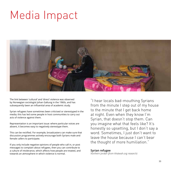## Media Impact



The link between 'cultural' and 'direct' violence was observed by Norwegian sociologist Johan Galtung in the 1960s, and has subsequently been an influential area of academic study.

Syrian refugees have sometimes been criticised or stereotyped in the media; this has led some people in host communities to carry out acts of violence against them.

Representation is an important issue: where particular voices are absent, it becomes easy to negatively stereotype them.

This can be rectified. For example, broadcasters can make sure that discussion programmes actively encourage both Syrians male and female callers to participate.

If you only include negative opinions of people who call in, or post messages to complain about refugees, then you can contribute to a culture of intolerance, which affects how people are treated, and towards an atmosphere in which violence is normal.

"I hear locals bad-mouthing Syrians from the minute I step out of my house to the minute that I get back home at night. Even when they know I'm Syrian, that doesn't stop them. Can you imagine what that feels like? It's honestly so upsetting, but I don't say a word. Sometimes, I just don't want to leave the house because I can't bear the thought of more humiliation."

#### **Syrian refugee**

*Northern Jordan (from khatwah.org research)*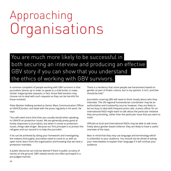## Approaching Organisations

#### You are much more likely to be successful in both securing an interview and producing an effective GBV story if you can show that you understand the ethics of working with GBV survivors.

A common complaint of people working with GBV survivors is that journalists 'phone up in order to speak to a child bride' or make similar inappropriate requests; in fact, those field workers may choose not to deal with such requests as they can be harmful for those involved.

Peter-Bastian Halberg worked as Senior Mass Communication Officer at UNHCR Jordan, and dealt with the press regularly in his work. He says:

"You will need more time than you usually would when speaking to UNHCR on protection issues. We are generally pretty good at timely responses to journalists, but when it comes to protection issues, things take longer. Because our first principle is to protect the refugees and our second is to help the journalist.

A lot can be achieved by doing your homework and investigating the matters thoroughly. Journalists need to come to us with an open mind, learn from the organization and knowing that we have a protection mandate.

A public discourse can only be altered if there is public scrutiny of stories on the ground. GBV related stories are often portrayed in a pre-judged manner.

There is a tendency that some people see harassment based on gender as part of Arabic culture, but in my opinion, it isn't, and that should be told."

Journalists covering GBV will need to think closely about who they interview. The UN regional humanitarian coordinator may be an authoritative and trustworthy source; however, they are likely to be too busy to deal with frequent press calls. A press officer for an international NGO might want to talk about the particular initiative they are promoting, rather than the particular issue that you want to cover.

Officials at local and international NGOs may be able to talk more freely about gender-based violence: they are likely to have a useful overview of the topic.

Bear in mind that they may use language and terminology which is unfamiliar to your audience. You should not be afraid of asking your interviewees to explain their language if it will confuse your audience.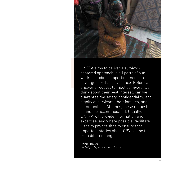

UNFPA aims to deliver a survivorcentered approach in all parts of our work, including supporting media to cover gender-based violence. Before we answer a request to meet survivors, we think about their best interest: can we guarantee the safety, confidentiality, and dignity of survivors, their families, and communities? At times, these requests cannot be accommodated. Usually, UNFPA will provide information and expertise, and where possible, facilitate visits to project sites to ensure that important stories about GBV can be told from different angles.

#### **Daniel Baker**

*UNFPA Syria Regional Response Advisor*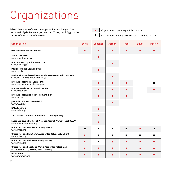## Organizations

Table 2 lists some of the main organizations working on GBV response in Syria, Lebanon, Jordan, Iraq, Turkey, and Egypt in the context of the Syrian refugee crisis.

Organisation operating in this country  $\bullet$ 

Organisation leading GBV coordination mechanism

| Organization                                                                                          | <b>Syria</b> | Lebanon | Jordan | Iraq      | Egypt | <b>Turkey</b> |
|-------------------------------------------------------------------------------------------------------|--------------|---------|--------|-----------|-------|---------------|
| <b>GBV coordination Mechanism</b>                                                                     |              |         |        | $\bullet$ |       |               |
| <b>ABAAD Lebanon</b><br>www.abaadmena.org                                                             |              |         |        |           |       |               |
| Arab Women Organization (AWO)<br>www.awo.org.jo                                                       |              |         |        |           |       |               |
| Danish Refugee Council (DRC)<br>www.drc.dk                                                            |              |         |        |           |       |               |
| Institute for Family Health / Noor Al Hussein Foundation (IFH/NHF)<br>www.nooralhusseinfoundation.org |              |         |        |           |       |               |
| <b>International Medial Corps (IMC)</b><br>www.internationalmedicalcorps.org                          |              |         |        |           |       |               |
| <b>International Rescue Committee (IRC)</b><br>www.rescue.org                                         |              |         |        |           |       |               |
| International Relief & Development (IRD)<br>www.ird.org                                               |              |         |        |           |       |               |
| Jordanian Women Union (JWU)<br>www.jwu.org.jo                                                         |              |         |        |           |       |               |
| <b>KAFA Lebanon</b><br>www.kafa.org.lb                                                                |              |         |        |           |       |               |
| The Lebanese Women Democratic Gathering (RDFL)                                                        |              |         |        |           |       |               |
| Lebanese Council to Resist Violence Against Women (LECORVAW)<br>www.lebanesewomen.org                 |              |         |        |           |       |               |
| <b>United Nations Population Fund (UNFPA)</b><br>www.unfpa.org                                        | П            | Ш       | П      | П         |       | <b>I</b>      |
| United Nations High Commissioner for Refugees (UNHCR)<br>www.unhcr.org                                |              | Ш       | г      | П         | ш     |               |
| <b>United Nations Children's Fund (UNICEF)</b><br>www.unicef.org                                      |              |         |        |           |       |               |
| United Nations Relief and Works Agency for Palestinian<br>in the Near East (UNRWA) www.unrwa.org      |              |         |        |           |       |               |
| <b>UN Women</b><br>www.unwomen.org                                                                    |              |         |        |           |       |               |

 $\blacksquare$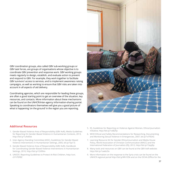GBV coordination groups, also called GBV sub-working groups or GBV task forces, are groups of organisations whose objective is to coordinate GBV prevention and response work. GBV working groups meets regularly to design, establish, and evaluate action to prevent and respond to GBV. For example, they work together to facilitate GBV survivors' access to services, and to implement awareness raising campaigns, as well as working to ensure that GBV risks are taken into account in all aspects of aid delivery.

Coordinating agencies, which are responsible for leading these groups, are often a good starting point to get an overview of the situation, key resources, and contacts. More information about these mechanisms can be found on the UNHCR/inter-agency information-sharing portal. Speaking to coordinators themselves will give you a good picture of what is happening 'on the ground' in the region you are reporting.



#### Additional Resources

- 1. Gender-Based Violence Area of Responsibility (GBV AoR), Media Guidelines for Reporting On Gender-Based Violence in Humanitarian Contexts, 2013, http://bit.ly/1uNd5te
- 2. Inter-Agency Standing Committee (IASC), Guidelines for Gender-Based Violence Interventions in Humanitarian Settings, 2005, bit.ly/1lja17J
- 3. Gender-Based Violence Area of Responsibility (GBV AoR), Handbook for Coordinating Gender-Based Violence Interventions in Humanitarian Settings, 2010, http://bit.ly/12V0htv
- 4. UNICEF, Reporting Guidelines to Protect At-Risk Children, http://uni. cf/1I70F8Z
- 5. IFJ, Guidelines for Reporting on Violence Against Women, Ethical Journalism Initiative, http://bit.ly/1stB2Fp
- 6. WHO Ethical and Safety Recommendations for Researching, Documenting and Monitoring Sexual Violence in Emergencies, 2007, bit.ly/1oTfGVG
- 7. Learning Resource Kit for Gender-Ethical Journalism and Media House Policy, World Association of Christian Communication (WACC) and the International Federation of Journalists (IFJ), 2012, http://bit.ly/13qsJEp
- 8. Many tools and resources on GBV can be found at the GBV AoR website: http://bit.ly/1zwbUSv
- 9. More information on the response to the Syria crisis can be found on the UNHCR regional portal http://bit.ly/Wh105k and on the OCHA (Office for the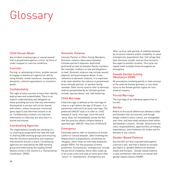## Glossary

#### Child Sexual Abuse

Any incident involving rape or sexual assault that is perpetrated against a minor, by force or under unequal or coercive conditions.

#### Coercion

Forcing, or attempting to force, another person to engage in behaviours against her will by using threats, verbal insistence, manipulation, deception, cultural expectations, or economic power.

#### **Confidentiality**

The right of every survivor to have their identity kept private and unidentifiable. There is an implicit understanding and obligation on those providing services that any information disclosed by a survivor will not be shared with others, unless the person concerned gives explicit and informed consent to do so. Confidentiality involves, not only how information is collected, but also how it is stored and shared.

#### Coordinating Agencies

The organizations (usually two working in a co-chairing arrangement) that take the lead in chairing GBV working groups and ensuring that the minimum prevention and response interventions are put in place. Coordinating agencies are selected by the GBV working group and endorsed by the leading United Nations entity in the country (i.e. Humanitarian Coordinator, SRSG).

#### Domestic Violence

Intimate Partner or Other Family Members: Domestic violence takes place between intimate partners (spouses, boyfriend/ girlfriend) as well as between family members (for example, mothers-in-law and daughtersin-law). Domestic violence may include sexual, physical, and psychological abuse. In any reference to domestic violence, it is important to be clear whether the violence is perpetrated by an intimate partner, or another family member. Other terms used to refer to domestic violence perpetrated by an intimate partner include 'spousal abuse' and 'wife battering.'

#### Child Marriage

Child marriage is defined as the marriage of a boy or a girl before the age of 18 years. It is sometimes referred to as early marriage. The preferred UNICEF style is to refer to 'child' instead of 'early' marriage, since the word 'early' does not immediately convey the fact that this practice affects children below a specified age. UNICEF, http://uni.cf/1lVmxcD

#### **Emergency**

Generally used to refer to situations of armed conflict or natural disaster, often involving the displacement of populations, sometimes as refugees, other times as internally displaced people (IDPs). For the purposes of these guidelines, humanitarian 'emergencies' include the period of instability, which often leads up to an acute crisis and ends at some point after 'return' or 'resettlement.' Emergencies are

often cyclical, with periods of stability followed by recurrent violence and/or instability. In some emergencies, populations flee, find refuge that later becomes unsafe, and are thus forced to flee again to another location. This cycle can repeat itself multiple times throughout an emergency.

#### Female Genital Cutting /Mutilation (FGM)

All procedures involving partial or total removal of the external female genitalia, or any other injury to the female genital organs for nonmedical reasons.

#### Forced Marriage

The marriage of an individual against her or his will.

#### Gender

Refers to the social differences between males and females that are learned, and though deeply rooted in every culture, are changeable over time, and have wide variations both within and between cultures. 'Gender' determines the roles, responsibilities, opportunities, privileges, expectations, and limitations for males and for females in any culture.

#### Gender-Based Violence

Any harmful act that is perpetrated against a person's will, and that is based on sociallyascribed (i.e. gender) differences between males and females.' Gender based violence is also sometimes referred to as sexual and gender based violence (SGBV).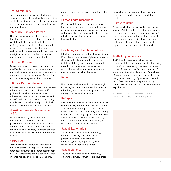#### Host Community

Host community is an area in which many refugees or internally displaced persons (IDPs) reside during displacement, whether in nearby camps, private accommodation, or integrated into households.

#### Internally Displaced Person (IDP)

IDPs are people who have been forced to flee their homes as a result of or in order to avoid the effects of armed conflict, internal strife, systematic violations of human rights or natural or manmade disasters, and who seek protection elsewhere within their country of origin or residence and have not crossed internationally recognised state borders.

#### Informed Consent

Refers to approval or assent, particularly and specifically after thoughtful consideration. Informed consent occurs when someone fully understands the consequences of a decision, and consents freely and without any force.

#### Intimate Partner Violence

Intimate partner violence takes place between intimate partners (spouses, boyfriend/ girlfriend) as well as between former intimate partners (for example, ex-husband or boyfriend). Intimate partner violence may include sexual, physical, and psychological abuse. It is sometimes referred to as IPV.

#### Non-Governmental Organization (NGO)

An organised entity that is functionally independent of, and does not represent a government or State. It is normally applied to organizations devoted to humanitarian and human rights causes, a number of which have official consultative status at the United Nations.

#### Perpetrator

Person, group, or institution that directly inflicts or otherwise supports violence or other abuse inflicted on another against her/ his will. Perpetrators are in a position of real or perceived power, decision-making and/or

authority, and can thus exert control over their victims.

#### Persons With Disabilities

Persons with Disabilities include those who have long-term physical, mental, intellectual, or sensory impairments, which in interaction with various barriers, may hinder their full and effective participation in society on an equal basis with others.

#### Psychological / Emotional Abuse

Infliction of mental or emotional pain or injury. Examples include threats of physical or sexual violence, intimidation, humiliation, forced isolation, stalking, harassment, unwanted attention, remarks, gestures, or written words of a sexual and/or menacing nature, destruction of cherished things, etc.

#### Rape

Non-consensual penetration (however slight) of the vagina, anus, or mouth with a penis or other body part. Also includes penetration of the vagina or anus with an object.

#### Refugee

A refugee is a person who is outside his or her country of origin or habitual residence, and has a well-founded fear of persecution because of his/her race, religion, nationality, membership in a particular social group or political opinion; and is unable or unwilling to avail himself/ herself of the protection of that country, or to return there, for fear of persecution.

#### Sexual Exploitation

Any abuse of a position of vulnerability, differential power, or trust for sexual purposes; this includes profiting monetarily, socially or politically from the sexual exploitation of another

#### Sexual Violence

Any abuse of a position of vulnerability, differential power, or trust for sexual purposes; this includes profiting monetarily, socially, or politically from the sexual exploitation of another.

#### Survivor/ Victim

A person who has experienced gender-based violence. Whilst the terms 'victim' and 'survivor' are sometimes used interchangeably, 'victim' is a term often used in the legal and medical sectors while 'survivor" is a term generally preferred in the psychological and social support sectors because it implies resilience.

#### Trafficking In Persons

Trafficking in persons is defined as the recruitment, transportation, transfer, harboring or receipt of persons, by means of the threat or use of force or other forms of coercion, of abduction, of fraud, of deception, of the abuse of power, or of a position of vulnerability, or of the giving or receiving of payments or benefits to achieve the consent of a person having control over another person, for the purpose of exploitation.

Adapted from the Gender-Based Violence Information Management System glossary